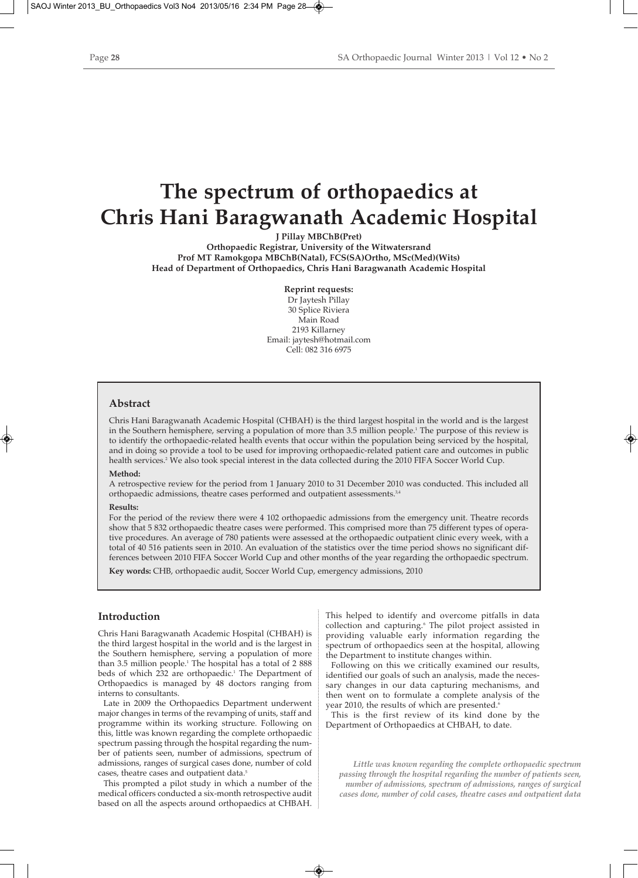# **The spectrum of orthopaedics at Chris Hani Baragwanath Academic Hospital**

**J Pillay MBChB(Pret)**

**Orthopaedic Registrar, University of the Witwatersrand Prof MT Ramokgopa MBChB(Natal), FCS(SA)Ortho, MSc(Med)(Wits) Head of Department of Orthopaedics, Chris Hani Baragwanath Academic Hospital**

> **Reprint requests:** Dr Javtesh Pillay

30 Splice Riviera Main Road 2193 Killarney Email: jaytesh@hotmail.com Cell: 082 316 6975

# **Abstract**

Chris Hani Baragwanath Academic Hospital (CHBAH) is the third largest hospital in the world and is the largest in the Southern hemisphere, serving a population of more than 3.5 million people.<sup>1</sup> The purpose of this review is to identify the orthopaedic-related health events that occur within the population being serviced by the hospital, and in doing so provide a tool to be used for improving orthopaedic-related patient care and outcomes in public health services.2 We also took special interest in the data collected during the 2010 FIFA Soccer World Cup.

#### **Method:**

A retrospective review for the period from 1 January 2010 to 31 December 2010 was conducted. This included all orthopaedic admissions, theatre cases performed and outpatient assessments.<sup>3,4</sup>

#### **Results:**

For the period of the review there were 4 102 orthopaedic admissions from the emergency unit. Theatre records show that 5 832 orthopaedic theatre cases were performed. This comprised more than 75 different types of operative procedures. An average of 780 patients were assessed at the orthopaedic outpatient clinic every week, with a total of 40 516 patients seen in 2010. An evaluation of the statistics over the time period shows no significant differences between 2010 FIFA Soccer World Cup and other months of the year regarding the orthopaedic spectrum.

**Key words:** CHB, orthopaedic audit, Soccer World Cup, emergency admissions, 2010

# **Introduction**

Chris Hani Baragwanath Academic Hospital (CHBAH) is the third largest hospital in the world and is the largest in the Southern hemisphere, serving a population of more than 3.5 million people.<sup>1</sup> The hospital has a total of 2 888 beds of which 232 are orthopaedic.<sup>1</sup> The Department of Orthopaedics is managed by 48 doctors ranging from interns to consultants.

Late in 2009 the Orthopaedics Department underwent major changes in terms of the revamping of units, staff and programme within its working structure. Following on this, little was known regarding the complete orthopaedic spectrum passing through the hospital regarding the number of patients seen, number of admissions, spectrum of admissions, ranges of surgical cases done, number of cold cases, theatre cases and outpatient data.<sup>5</sup>

This prompted a pilot study in which a number of the medical officers conducted a six-month retrospective audit based on all the aspects around orthopaedics at CHBAH. This helped to identify and overcome pitfalls in data collection and capturing.<sup>6</sup> The pilot project assisted in providing valuable early information regarding the spectrum of orthopaedics seen at the hospital, allowing the Department to institute changes within.

Following on this we critically examined our results, identified our goals of such an analysis, made the necessary changes in our data capturing mechanisms, and then went on to formulate a complete analysis of the year 2010, the results of which are presented.<sup>6</sup>

This is the first review of its kind done by the Department of Orthopaedics at CHBAH, to date.

*Little was known regarding the complete orthopaedic spectrum passing through the hospital regarding the number of patients seen, number of admissions, spectrum of admissions, ranges of surgical cases done, number of cold cases, theatre cases and outpatient data*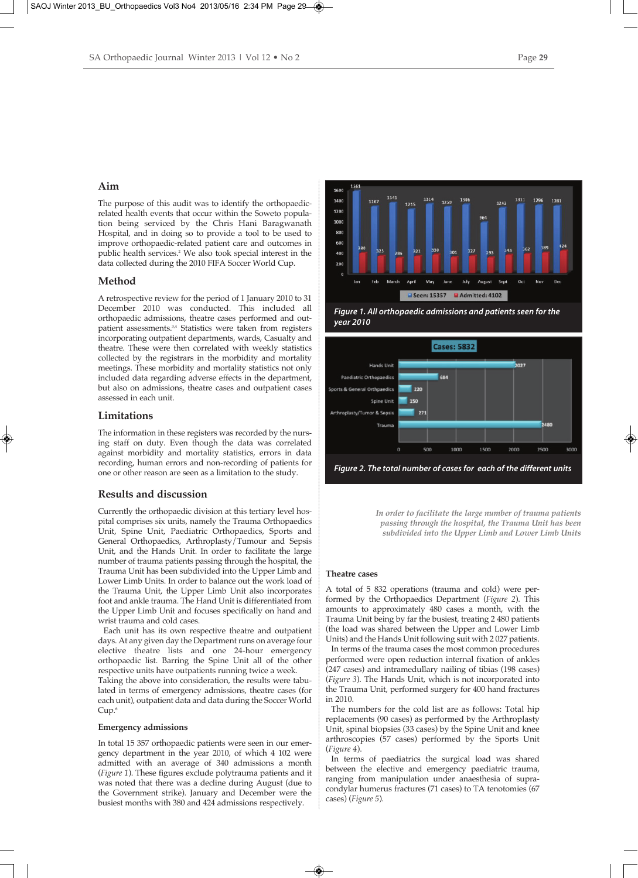# **Aim**

The purpose of this audit was to identify the orthopaedicrelated health events that occur within the Soweto population being serviced by the Chris Hani Baragwanath Hospital, and in doing so to provide a tool to be used to improve orthopaedic-related patient care and outcomes in public health services.2 We also took special interest in the data collected during the 2010 FIFA Soccer World Cup.

### **Method**

A retrospective review for the period of 1 January 2010 to 31 December 2010 was conducted. This included all orthopaedic admissions, theatre cases performed and outpatient assessments.<sup>3,4</sup> Statistics were taken from registers incorporating outpatient departments, wards, Casualty and theatre. These were then correlated with weekly statistics collected by the registrars in the morbidity and mortality meetings. These morbidity and mortality statistics not only included data regarding adverse effects in the department, but also on admissions, theatre cases and outpatient cases assessed in each unit.

### **Limitations**

The information in these registers was recorded by the nursing staff on duty. Even though the data was correlated against morbidity and mortality statistics, errors in data recording, human errors and non-recording of patients for one or other reason are seen as a limitation to the study.

# **Results and discussion**

Currently the orthopaedic division at this tertiary level hospital comprises six units, namely the Trauma Orthopaedics Unit, Spine Unit, Paediatric Orthopaedics, Sports and General Orthopaedics, Arthroplasty/Tumour and Sepsis Unit, and the Hands Unit. In order to facilitate the large number of trauma patients passing through the hospital, the Trauma Unit has been subdivided into the Upper Limb and Lower Limb Units. In order to balance out the work load of the Trauma Unit, the Upper Limb Unit also incorporates foot and ankle trauma. The Hand Unit is differentiated from the Upper Limb Unit and focuses specifically on hand and wrist trauma and cold cases.

Each unit has its own respective theatre and outpatient days. At any given day the Department runs on average four elective theatre lists and one 24-hour emergency orthopaedic list. Barring the Spine Unit all of the other respective units have outpatients running twice a week.

Taking the above into consideration, the results were tabulated in terms of emergency admissions, theatre cases (for each unit), outpatient data and data during the Soccer World Cup.<sup>6</sup>

#### **Emergency admissions**

In total 15 357 orthopaedic patients were seen in our emergency department in the year 2010, of which 4 102 were admitted with an average of 340 admissions a month (*Figure 1*). These figures exclude polytrauma patients and it was noted that there was a decline during August (due to the Government strike). January and December were the busiest months with 380 and 424 admissions respectively.



*Figure 1. All orthopaedic admissions and patients seen for the year 2010*



*Figure 2. The total number of cases for each of the different units*

*In order to facilitate the large number of trauma patients passing through the hospital, the Trauma Unit has been subdivided into the Upper Limb and Lower Limb Units*

#### **Theatre cases**

A total of 5 832 operations (trauma and cold) were performed by the Orthopaedics Department (*Figure 2*). This amounts to approximately 480 cases a month, with the Trauma Unit being by far the busiest, treating 2 480 patients (the load was shared between the Upper and Lower Limb Units) and the Hands Unit following suit with 2 027 patients.

In terms of the trauma cases the most common procedures performed were open reduction internal fixation of ankles (247 cases) and intramedullary nailing of tibias (198 cases) (*Figure 3*). The Hands Unit, which is not incorporated into the Trauma Unit, performed surgery for 400 hand fractures in 2010.

The numbers for the cold list are as follows: Total hip replacements (90 cases) as performed by the Arthroplasty Unit, spinal biopsies (33 cases) by the Spine Unit and knee arthroscopies (57 cases) performed by the Sports Unit (*Figure 4*).

In terms of paediatrics the surgical load was shared between the elective and emergency paediatric trauma, ranging from manipulation under anaesthesia of supracondylar humerus fractures (71 cases) to TA tenotomies (67 cases) (*Figure 5*).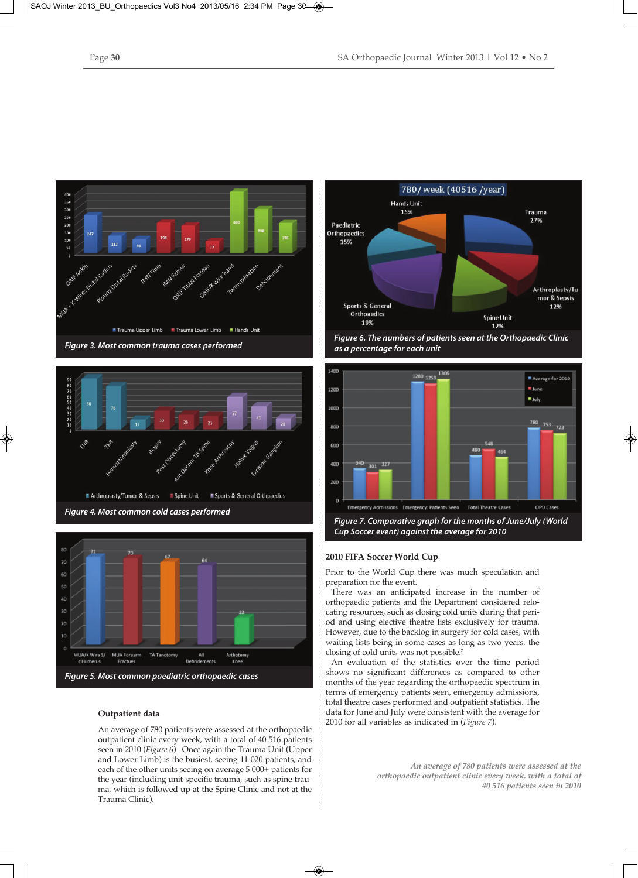





#### **Outpatient data**

An average of 780 patients were assessed at the orthopaedic outpatient clinic every week, with a total of 40 516 patients seen in 2010 (*Figure 6*) . Once again the Trauma Unit (Upper and Lower Limb) is the busiest, seeing 11 020 patients, and each of the other units seeing on average 5 000+ patients for the year (including unit-specific trauma, such as spine trauma, which is followed up at the Spine Clinic and not at the Trauma Clinic).



*as a percentage for each unit*



*Figure 7. Comparative graph for the months of June/July (World Cup Soccer event) against the average for 2010*

#### **2010 FIFA Soccer World Cup**

Prior to the World Cup there was much speculation and preparation for the event.

There was an anticipated increase in the number of orthopaedic patients and the Department considered relocating resources, such as closing cold units during that period and using elective theatre lists exclusively for trauma. However, due to the backlog in surgery for cold cases, with waiting lists being in some cases as long as two years, the closing of cold units was not possible.7

An evaluation of the statistics over the time period shows no significant differences as compared to other months of the year regarding the orthopaedic spectrum in terms of emergency patients seen, emergency admissions, total theatre cases performed and outpatient statistics. The data for June and July were consistent with the average for 2010 for all variables as indicated in (*Figure 7*).

> *An average of 780 patients were assessed at the orthopaedic outpatient clinic every week, with a total of 40 516 patients seen in 2010*